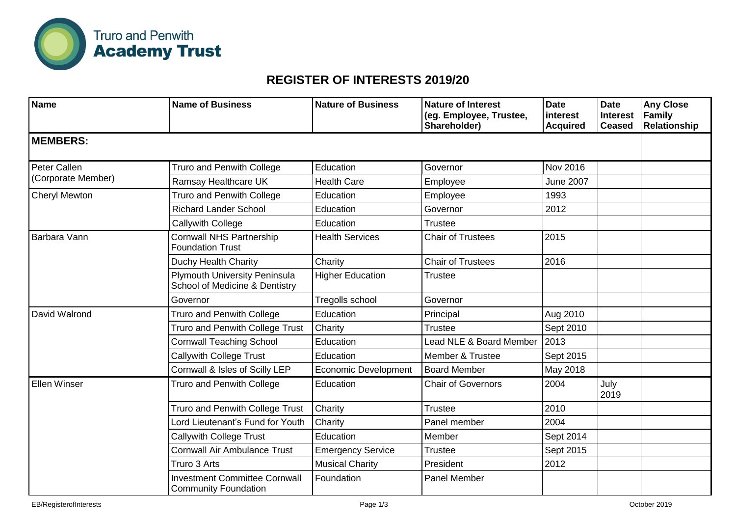

## **REGISTER OF INTERESTS 2019/20**

| <b>Name</b>                        | <b>Name of Business</b>                                                | <b>Nature of Business</b>   | <b>Nature of Interest</b><br>(eg. Employee, Trustee,<br>Shareholder) | <b>Date</b><br>interest<br><b>Acquired</b> | <b>Date</b><br><b>Interest</b><br><b>Ceased</b> | <b>Any Close</b><br>Family<br>Relationship |
|------------------------------------|------------------------------------------------------------------------|-----------------------------|----------------------------------------------------------------------|--------------------------------------------|-------------------------------------------------|--------------------------------------------|
| <b>MEMBERS:</b>                    |                                                                        |                             |                                                                      |                                            |                                                 |                                            |
| Peter Callen<br>(Corporate Member) | <b>Truro and Penwith College</b>                                       | Education                   | Governor                                                             | Nov 2016                                   |                                                 |                                            |
|                                    | Ramsay Healthcare UK                                                   | <b>Health Care</b>          | Employee                                                             | <b>June 2007</b>                           |                                                 |                                            |
| Cheryl Mewton                      | <b>Truro and Penwith College</b>                                       | Education                   | Employee                                                             | 1993                                       |                                                 |                                            |
|                                    | <b>Richard Lander School</b>                                           | Education                   | Governor                                                             | 2012                                       |                                                 |                                            |
|                                    | Callywith College                                                      | Education                   | <b>Trustee</b>                                                       |                                            |                                                 |                                            |
| Barbara Vann                       | <b>Cornwall NHS Partnership</b><br><b>Foundation Trust</b>             | <b>Health Services</b>      | <b>Chair of Trustees</b>                                             | 2015                                       |                                                 |                                            |
|                                    | Duchy Health Charity                                                   | Charity                     | <b>Chair of Trustees</b>                                             | 2016                                       |                                                 |                                            |
|                                    | <b>Plymouth University Peninsula</b><br>School of Medicine & Dentistry | <b>Higher Education</b>     | <b>Trustee</b>                                                       |                                            |                                                 |                                            |
|                                    | Governor                                                               | Tregolls school             | Governor                                                             |                                            |                                                 |                                            |
| David Walrond                      | <b>Truro and Penwith College</b>                                       | Education                   | Principal                                                            | Aug 2010                                   |                                                 |                                            |
|                                    | <b>Truro and Penwith College Trust</b>                                 | Charity                     | <b>Trustee</b>                                                       | Sept 2010                                  |                                                 |                                            |
|                                    | <b>Cornwall Teaching School</b>                                        | Education                   | Lead NLE & Board Member                                              | 2013                                       |                                                 |                                            |
|                                    | <b>Callywith College Trust</b>                                         | Education                   | Member & Trustee                                                     | Sept 2015                                  |                                                 |                                            |
|                                    | Cornwall & Isles of Scilly LEP                                         | <b>Economic Development</b> | <b>Board Member</b>                                                  | May 2018                                   |                                                 |                                            |
| <b>Ellen Winser</b>                | <b>Truro and Penwith College</b>                                       | Education                   | <b>Chair of Governors</b>                                            | 2004                                       | July<br>2019                                    |                                            |
|                                    | Truro and Penwith College Trust                                        | Charity                     | <b>Trustee</b>                                                       | 2010                                       |                                                 |                                            |
|                                    | Lord Lieutenant's Fund for Youth                                       | Charity                     | Panel member                                                         | 2004                                       |                                                 |                                            |
|                                    | <b>Callywith College Trust</b>                                         | Education                   | Member                                                               | Sept 2014                                  |                                                 |                                            |
|                                    | Cornwall Air Ambulance Trust                                           | <b>Emergency Service</b>    | <b>Trustee</b>                                                       | Sept 2015                                  |                                                 |                                            |
|                                    | Truro 3 Arts                                                           | <b>Musical Charity</b>      | President                                                            | 2012                                       |                                                 |                                            |
|                                    | <b>Investment Committee Cornwall</b><br><b>Community Foundation</b>    | Foundation                  | Panel Member                                                         |                                            |                                                 |                                            |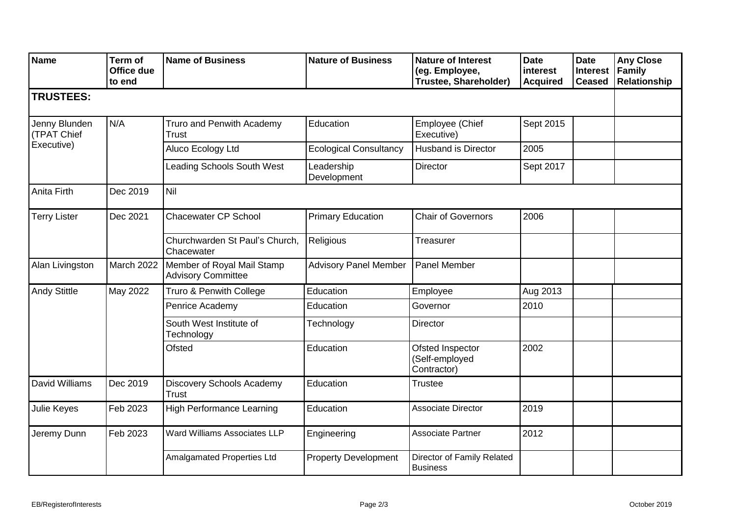| <b>Name</b>                                | Term of<br>Office due<br>to end | <b>Name of Business</b>                                 | <b>Nature of Business</b>     | <b>Nature of Interest</b><br>(eg. Employee,<br>Trustee, Shareholder) | <b>Date</b><br>interest<br><b>Acquired</b> | <b>Date</b><br><b>Interest</b><br><b>Ceased</b> | <b>Any Close</b><br><b>Family</b><br>Relationship |
|--------------------------------------------|---------------------------------|---------------------------------------------------------|-------------------------------|----------------------------------------------------------------------|--------------------------------------------|-------------------------------------------------|---------------------------------------------------|
| <b>TRUSTEES:</b>                           |                                 |                                                         |                               |                                                                      |                                            |                                                 |                                                   |
| Jenny Blunden<br>(TPAT Chief<br>Executive) | N/A                             | Truro and Penwith Academy<br>Trust                      | Education                     | Employee (Chief<br>Executive)                                        | Sept 2015                                  |                                                 |                                                   |
|                                            |                                 | Aluco Ecology Ltd                                       | <b>Ecological Consultancy</b> | <b>Husband is Director</b>                                           | 2005                                       |                                                 |                                                   |
|                                            |                                 | <b>Leading Schools South West</b>                       | Leadership<br>Development     | Director                                                             | Sept 2017                                  |                                                 |                                                   |
| Anita Firth                                | Dec 2019                        | Nil                                                     |                               |                                                                      |                                            |                                                 |                                                   |
| <b>Terry Lister</b>                        | Dec 2021                        | <b>Chacewater CP School</b>                             | <b>Primary Education</b>      | <b>Chair of Governors</b>                                            | 2006                                       |                                                 |                                                   |
|                                            |                                 | Churchwarden St Paul's Church,<br>Chacewater            | Religious                     | <b>Treasurer</b>                                                     |                                            |                                                 |                                                   |
| Alan Livingston                            | March 2022                      | Member of Royal Mail Stamp<br><b>Advisory Committee</b> | <b>Advisory Panel Member</b>  | Panel Member                                                         |                                            |                                                 |                                                   |
| <b>Andy Stittle</b>                        | May 2022                        | Truro & Penwith College                                 | Education                     | Employee                                                             | Aug 2013                                   |                                                 |                                                   |
|                                            |                                 | Penrice Academy                                         | Education                     | Governor                                                             | 2010                                       |                                                 |                                                   |
|                                            |                                 | South West Institute of<br>Technology                   | Technology                    | Director                                                             |                                            |                                                 |                                                   |
|                                            |                                 | Ofsted                                                  | Education                     | Ofsted Inspector<br>(Self-employed<br>Contractor)                    | 2002                                       |                                                 |                                                   |
| David Williams                             | Dec 2019                        | Discovery Schools Academy<br><b>Trust</b>               | Education                     | <b>Trustee</b>                                                       |                                            |                                                 |                                                   |
| Julie Keyes                                | Feb 2023                        | <b>High Performance Learning</b>                        | Education                     | <b>Associate Director</b>                                            | 2019                                       |                                                 |                                                   |
| Jeremy Dunn                                | Feb 2023                        | Ward Williams Associates LLP                            | Engineering                   | Associate Partner                                                    | 2012                                       |                                                 |                                                   |
|                                            |                                 | Amalgamated Properties Ltd                              | <b>Property Development</b>   | Director of Family Related<br><b>Business</b>                        |                                            |                                                 |                                                   |